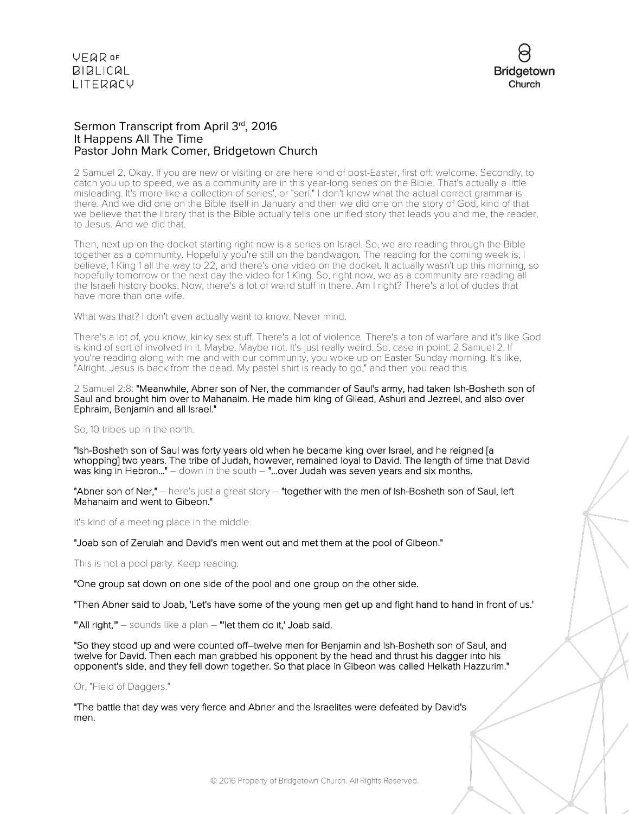

# Sermon Transcript from April 3rd, 2016 It Happens All The Time Pastor John Mark Comer, Bridgetown Church

2 Samuel 2. Okay. If you are new or visiting or are here kind of post-Easter, first off: welcome. Secondly, to catch you up to speed, we as a community are in this year-long series on the Bible. That's actually a little misleading. It's more like a collection of series', or "seri." I don't know what the actual correct grammar is there. And we did one on the Bible itself in January and then we did one on the story of God, kind of that we believe that the library that is the Bible actually tells one unified story that leads you and me, the reader, to Jesus. And we did that.

Then, next up on the docket starting right now is a series on Israel. So, we are reading through the Bible together as a community. Hopefully you're still on the bandwagon. The reading for the coming week is, I believe, 1 King 1 all the way to 22, and there's one video on the docket. It actually wasn't up this morning, so hopefully tomorrow or the next day the video for 1 King. So, right now, we as a community are reading all the Israeli history books. Now, there's a lot of weird stuff in there. Am I right? There's a lot of dudes that have more than one wife.

What was that? I don't even actually want to know. Never mind.

There's a lot of, you know, kinky sex stuff. There's a lot of violence. There's a ton of warfare and it's like God is kind of sort of involved in it. Maybe. Maybe not. It's just really weird. So, case in point: 2 Samuel 2. If you're reading along with me and with our community, you woke up on Easter Sunday morning. It's like, "Alright. Jesus is back from the dead. My pastel shirt is ready to go," and then you read this.

2 Samuel 2:8: "Meanwhile, Abner son of Ner, the commander of Saul's army, had taken Ish-Bosheth son of Saul and brought him over to Mahanaim. He made him king of Gilead, Ashuri and Jezreel, and also over Ephraim, Benjamin and all Israel."

So, 10 tribes up in the north.

"Ish-Bosheth son of Saul was forty years old when he became king over Israel, and he reigned [a whopping] two years. The tribe of Judah, however, remained loyal to David. The length of time that David was king in Hebron..." – down in the south – "...over Judah was seven years and six months.

"Abner son of Ner," - here's just a great story - "together with the men of Ish-Bosheth son of Saul, left Mahanaim and went to Gibeon."

It's kind of a meeting place in the middle.

"Joab son of Zeruiah and David's men went out and met them at the pool of Gibeon."

This is not a pool party. Keep reading.

"One group sat down on one side of the pool and one group on the other side.

"Then Abner said to Joab, 'Let's have some of the young men get up and fight hand to hand in front of us.'

"'All right," - sounds like a plan - "'let them do it,' Joab said.

"So they stood up and were counted off–twelve men for Benjamin and Ish-Bosheth son of Saul, and twelve for David. Then each man grabbed his opponent by the head and thrust his dagger into his opponent's side, and they fell down together. So that place in Gibeon was called Helkath Hazzurim."

Or, "Field of Daggers."

"The battle that day was very fierce and Abner and the Israelites were defeated by David's men.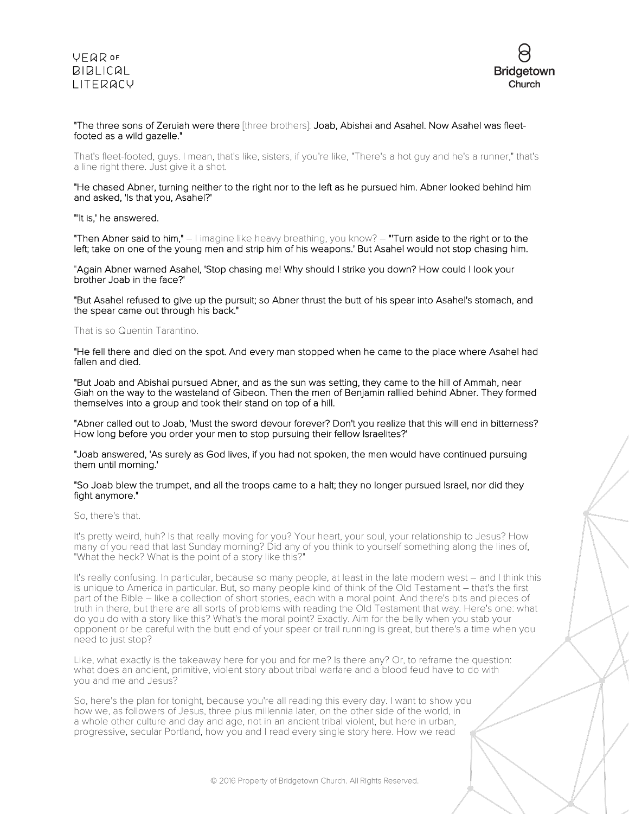

### "The three sons of Zeruiah were there [three brothers]: Joab, Abishai and Asahel. Now Asahel was fleetfooted as a wild gazelle."

That's fleet-footed, guys. I mean, that's like, sisters, if you're like, "There's a hot guy and he's a runner," that's a line right there. Just give it a shot.

#### "He chased Abner, turning neither to the right nor to the left as he pursued him. Abner looked behind him and asked, 'Is that you, Asahel?'

#### "'It is,' he answered.

"Then Abner said to him,"  $-1$  imagine like heavy breathing, you know?  $-$  "Turn aside to the right or to the left; take on one of the young men and strip him of his weapons.' But Asahel would not stop chasing him.

"Again Abner warned Asahel, 'Stop chasing me! Why should I strike you down? How could I look your brother Joab in the face?'

"But Asahel refused to give up the pursuit; so Abner thrust the butt of his spear into Asahel's stomach, and the spear came out through his back."

#### That is so Quentin Tarantino.

"He fell there and died on the spot. And every man stopped when he came to the place where Asahel had fallen and died.

"But Joab and Abishai pursued Abner, and as the sun was setting, they came to the hill of Ammah, near Giah on the way to the wasteland of Gibeon. Then the men of Benjamin rallied behind Abner. They formed themselves into a group and took their stand on top of a hill.

"Abner called out to Joab, 'Must the sword devour forever? Don't you realize that this will end in bitterness? How long before you order your men to stop pursuing their fellow Israelites?'

"Joab answered, 'As surely as God lives, if you had not spoken, the men would have continued pursuing them until morning.'

#### "So Joab blew the trumpet, and all the troops came to a halt; they no longer pursued Israel, nor did they fight anymore."

So, there's that.

It's pretty weird, huh? Is that really moving for you? Your heart, your soul, your relationship to Jesus? How many of you read that last Sunday morning? Did any of you think to yourself something along the lines of, "What the heck? What is the point of a story like this?"

It's really confusing. In particular, because so many people, at least in the late modern west – and I think this is unique to America in particular. But, so many people kind of think of the Old Testament – that's the first part of the Bible – like a collection of short stories, each with a moral point. And there's bits and pieces of truth in there, but there are all sorts of problems with reading the Old Testament that way. Here's one: what do you do with a story like this? What's the moral point? Exactly. Aim for the belly when you stab your opponent or be careful with the butt end of your spear or trail running is great, but there's a time when you need to just stop?

Like, what exactly is the takeaway here for you and for me? Is there any? Or, to reframe the question: what does an ancient, primitive, violent story about tribal warfare and a blood feud have to do with you and me and Jesus?

So, here's the plan for tonight, because you're all reading this every day. I want to show you how we, as followers of Jesus, three plus millennia later, on the other side of the world, in a whole other culture and day and age, not in an ancient tribal violent, but here in urban, progressive, secular Portland, how you and I read every single story here. How we read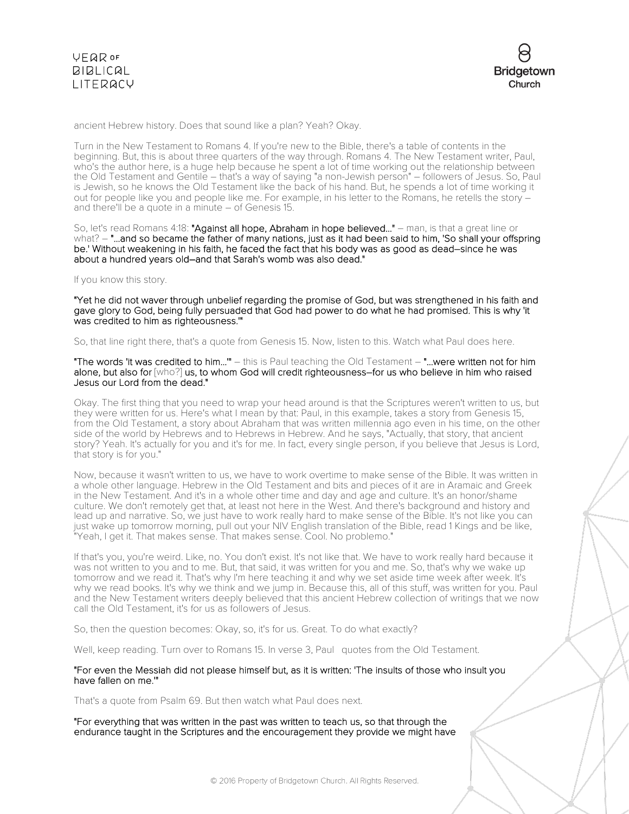



ancient Hebrew history. Does that sound like a plan? Yeah? Okay.

Turn in the New Testament to Romans 4. If you're new to the Bible, there's a table of contents in the beginning. But, this is about three quarters of the way through. Romans 4. The New Testament writer, Paul, who's the author here, is a huge help because he spent a lot of time working out the relationship between the Old Testament and Gentile – that's a way of saying "a non-Jewish person" – followers of Jesus. So, Paul is Jewish, so he knows the Old Testament like the back of his hand. But, he spends a lot of time working it out for people like you and people like me. For example, in his letter to the Romans, he retells the story – and there'll be <sup>a</sup> quote in <sup>a</sup> minute – of Genesis 15.

So, let's read Romans 4:18: "Against all hope, Abraham in hope believed..." – man, is that a great line or what? – "...and so became the father of many nations, just as it had been said to him, 'So shall your offspring be.' Without weakening in his faith, he faced the fact that his body was as good as dead–since he was about a hundred years old–and that Sarah's womb was also dead."

If you know this story.

"Yet he did not waver through unbelief regarding the promise of God, but was strengthened in his faith and gave glory to God, being fully persuaded that God had power to do what he had promised. This is why 'it was credited to him as righteousness.'"

So, that line right there, that's a quote from Genesis 15. Now, listen to this. Watch what Paul does here.

"The words 'it was credited to him...'" – this is Paul teaching the Old Testament – "...were written not for him alone, but also for [who?] us, to whom God will credit righteousness–for us who believe in him who raised Jesus our Lord from the dead."

Okay. The first thing that you need to wrap your head around is that the Scriptures weren't written to us, but they were written for us. Here's what I mean by that: Paul, in this example, takes a story from Genesis 15, from the Old Testament, a story about Abraham that was written millennia ago even in his time, on the other side of the world by Hebrews and to Hebrews in Hebrew. And he says, "Actually, that story, that ancient story? Yeah. It's actually for you and it's for me. In fact, every single person, if you believe that Jesus is Lord, that story is for you."

Now, because it wasn't written to us, we have to work overtime to make sense of the Bible. It was written in a whole other language. Hebrew in the Old Testament and bits and pieces of it are in Aramaic and Greek in the New Testament. And it's in a whole other time and day and age and culture. It's an honor/shame culture. We don't remotely get that, at least not here in the West. And there's background and history and lead up and narrative. So, we just have to work really hard to make sense of the Bible. It's not like you can just wake up tomorrow morning, pull out your NIV English translation of the Bible, read 1 Kings and be like, "Yeah, I get it. That makes sense. That makes sense. Cool. No problemo."

If that's you, you're weird. Like, no. You don't exist. It's not like that. We have to work really hard because it was not written to you and to me. But, that said, it was written for you and me. So, that's why we wake up tomorrow and we read it. That's why I'm here teaching it and why we set aside time week after week. It's why we read books. It's why we think and we jump in. Because this, all of this stuff, was written for you. Paul and the New Testament writers deeply believed that this ancient Hebrew collection of writings that we now call the Old Testament, it's for us as followers of Jesus.

So, then the question becomes: Okay, so, it's for us. Great. To do what exactly?

Well, keep reading. Turn over to Romans 15. In verse 3, Paul quotes from the Old Testament.

#### "For even the Messiah did not please himself but, as it is written: 'The insults of those who insult you have fallen on me.'"

That's a quote from Psalm 69. But then watch what Paul does next.

"For everything that was written in the past was written to teach us, so that through the endurance taught in the Scriptures and the encouragement they provide we might have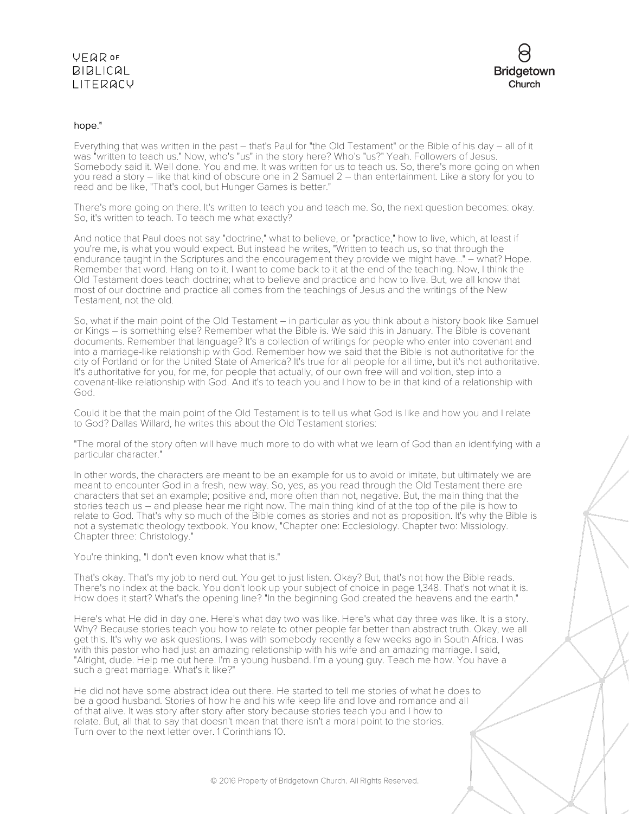

## hope."

Everything that was written in the past – that's Paul for "the Old Testament" or the Bible of his day – all of it was "written to teach us." Now, who's "us" in the story here? Who's "us?" Yeah. Followers of Jesus. Somebody said it. Well done. You and me. It was written for us to teach us. So, there's more going on when you read a story – like that kind of obscure one in 2 Samuel 2 – than entertainment. Like a story for you to read and be like, "That's cool, but Hunger Games is better."

There's more going on there. It's written to teach you and teach me. So, the next question becomes: okay. So, it's written to teach. To teach me what exactly?

And notice that Paul does not say "doctrine," what to believe, or "practice," how to live, which, at least if you're me, is what you would expect. But instead he writes, "Written to teach us, so that through the endurance taught in the Scriptures and the encouragement they provide we might have..." – what? Hope. Remember that word. Hang on to it. I want to come back to it at the end of the teaching. Now, I think the Old Testament does teach doctrine; what to believe and practice and how to live. But, we all know that most of our doctrine and practice all comes from the teachings of Jesus and the writings of the New Testament, not the old.

So, what if the main point of the Old Testament – in particular as you think about a history book like Samuel or Kings – is something else? Remember what the Bible is. We said this in January. The Bible is covenant documents. Remember that language? It's a collection of writings for people who enter into covenant and into a marriage-like relationship with God. Remember how we said that the Bible is not authoritative for the city of Portland or for the United State of America? It's true for all people for all time, but it's not authoritative. It's authoritative for you, for me, for people that actually, of our own free will and volition, step into a covenant-like relationship with God. And it's to teach you and I how to be in that kind of a relationship with God.

Could it be that the main point of the Old Testament is to tell us what God is like and how you and I relate to God? Dallas Willard, he writes this about the Old Testament stories:

"The moral of the story often will have much more to do with what we learn of God than an identifying with a particular character."

In other words, the characters are meant to be an example for us to avoid or imitate, but ultimately we are meant to encounter God in a fresh, new way. So, yes, as you read through the Old Testament there are characters that set an example; positive and, more often than not, negative. But, the main thing that the stories teach us – and please hear me right now. The main thing kind of at the top of the pile is how to relate to God. That's why so much of the Bible comes as stories and not as proposition. It's why the Bible is not a systematic theology textbook. You know, "Chapter one: Ecclesiology. Chapter two: Missiology. Chapter three: Christology."

You're thinking, "I don't even know what that is."

That's okay. That's my job to nerd out. You get to just listen. Okay? But, that's not how the Bible reads. There's no index at the back. You don't look up your subject of choice in page 1,348. That's not what it is. How does it start? What's the opening line? "In the beginning God created the heavens and the earth."

Here's what He did in day one. Here's what day two was like. Here's what day three was like. It is a story. Why? Because stories teach you how to relate to other people far better than abstract truth. Okay, we all get this. It's why we ask questions. I was with somebody recently a few weeks ago in South Africa. I was with this pastor who had just an amazing relationship with his wife and an amazing marriage. I said, "Alright, dude. Help me out here. I'm a young husband. I'm a young guy. Teach me how. You have a such a great marriage. What's it like?"

He did not have some abstract idea out there. He started to tell me stories of what he does to be a good husband. Stories of how he and his wife keep life and love and romance and all of that alive. It was story after story after story because stories teach you and I how to relate. But, all that to say that doesn't mean that there isn't a moral point to the stories. Turn over to the next letter over. 1 Corinthians 10.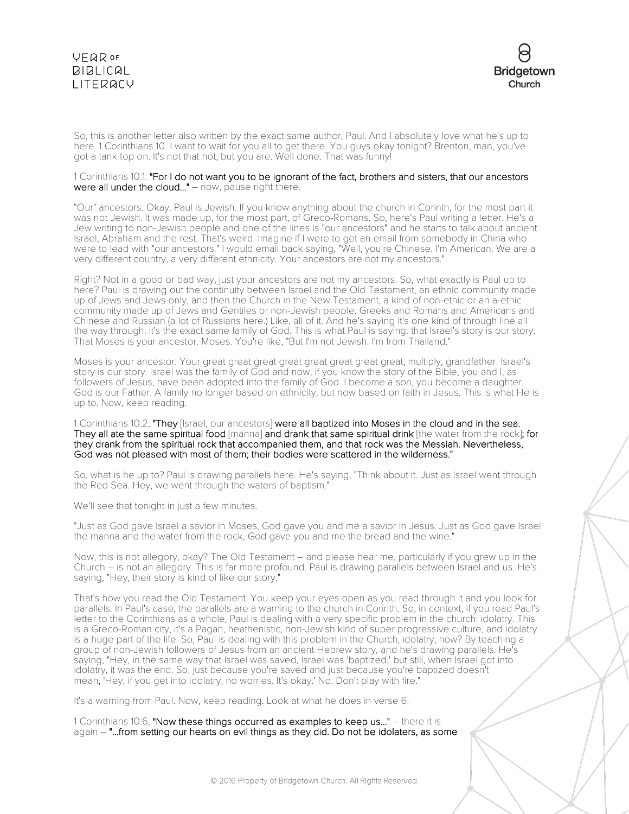

So, this is another letter also written by the exact same author, Paul. And I absolutely love what he's up to here. 1 Corinthians 10. I want to wait for you all to get there. You guys okay tonight? Brenton, man, you've got a tank top on. It's not that hot, but you are. Well done. That was funny!

#### 1 Corinthians 10:1: "For I do not want you to be ignorant of the fact, brothers and sisters, that our ancestors were all under the cloud..." – now, pause right there.

"Our" ancestors. Okay. Paul is Jewish. If you know anything about the church in Corinth, for the most part it was not Jewish. It was made up, for the most part, of Greco-Romans. So, here's Paul writing a letter. He's a Jew writing to non-Jewish people and one of the lines is "our ancestors" and he starts to talk about ancient Israel, Abraham and the rest. That's weird. Imagine if I were to get an email from somebody in China who were to lead with "our ancestors." I would email back saying, "Well, you're Chinese. I'm American. We are a very different country, a very different ethnicity. Your ancestors are not my ancestors."

Right? Not in a good or bad way, just your ancestors are not my ancestors. So, what exactly is Paul up to here? Paul is drawing out the continuity between Israel and the Old Testament, an ethnic community made up of Jews and Jews only, and then the Church in the New Testament, a kind of non-ethic or an a-ethic community made up of Jews and Gentiles or non-Jewish people. Greeks and Romans and Americans and Chinese and Russian (a lot of Russians here.) Like, all of it. And he's saying it's one kind of through line all the way through. It's the exact same family of God. This is what Paul is saying: that Israel's story is our story. That Moses is your ancestor. Moses. You're like, "But I'm not Jewish. I'm from Thailand."

Moses is your ancestor. Your great great great great great great great great, multiply, grandfather. Israel's story is our story. Israel was the family of God and now, if you know the story of the Bible, you and I, as followers of Jesus, have been adopted into the family of God. I become a son, you become a daughter. God is our Father. A family no longer based on ethnicity, but now based on faith in Jesus. This is what He is up to. Now, keep reading.

1 Corinthians 10:2, "They [Israel, our ancestors] were all baptized into Moses in the cloud and in the sea. They all ate the same spiritual food [manna] and drank that same spiritual drink [the water from the rock]; for they drank from the spiritual rock that accompanied them, and that rock was the Messiah. Nevertheless, God was not pleased with most of them; their bodies were scattered in the wilderness."

So, what is he up to? Paul is drawing parallels here. He's saying, "Think about it. Just as Israel went through the Red Sea. Hey, we went through the waters of baptism."

We'll see that tonight in just a few minutes.

"Just as God gave Israel a savior in Moses, God gave you and me a savior in Jesus. Just as God gave Israel the manna and the water from the rock, God gave you and me the bread and the wine."

Now, this is not allegory, okay? The Old Testament – and please hear me, particularly if you grew up in the Church – is not an allegory. This is far more profound. Paul is drawing parallels between Israel and us. He's saying, "Hey, their story is kind of like our story."

That's how you read the Old Testament. You keep your eyes open as you read through it and you look for parallels. In Paul's case, the parallels are a warning to the church in Corinth. So, in context, if you read Paul's letter to the Corinthians as a whole, Paul is dealing with a very specific problem in the church: idolatry. This is a Greco-Roman city, it's a Pagan, heathenistic, non-Jewish kind of super progressive culture, and idolatry is a huge part of the life. So, Paul is dealing with this problem in the Church, idolatry, how? By teaching a group of non-Jewish followers of Jesus from an ancient Hebrew story, and he's drawing parallels. He's saying, "Hey, in the same way that Israel was saved, Israel was 'baptized,' but still, when Israel got into idolatry, it was the end. So, just because you're saved and just because you're baptized doesn't mean, 'Hey, if you get into idolatry, no worries. It's okay.' No. Don't play with fire."

It's a warning from Paul. Now, keep reading. Look at what he does in verse 6.

1 Corinthians 10:6, "Now these things occurred as examples to keep us..." – there it is again – "...from setting our hearts on evil things as they did. Do not be idolaters, as some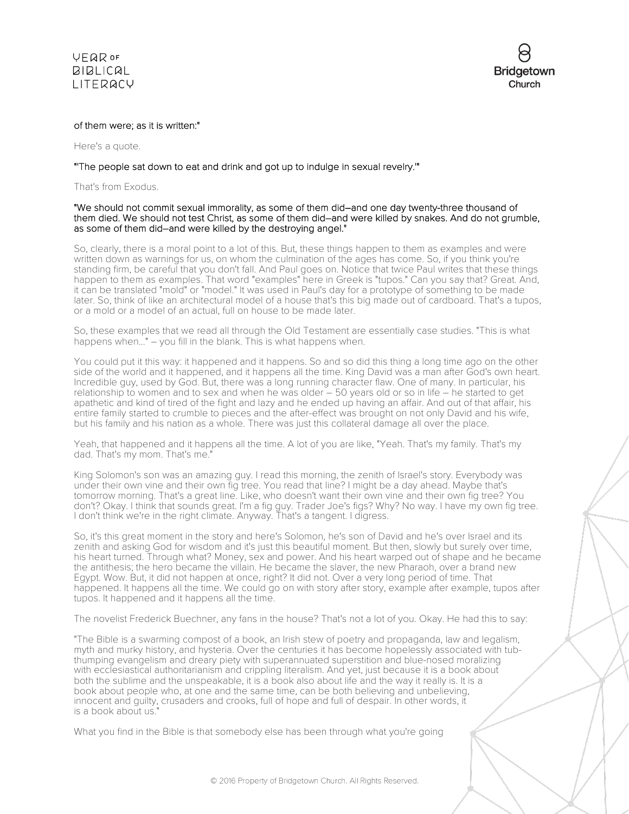



#### of them were; as it is written:"

Here's a quote.

### "'The people sat down to eat and drink and got up to indulge in sexual revelry.'"

That's from Exodus.

#### "We should not commit sexual immorality, as some of them did–and one day twenty-three thousand of them died. We should not test Christ, as some of them did–and were killed by snakes. And do not grumble, as some of them did–and were killed by the destroying angel."

So, clearly, there is a moral point to a lot of this. But, these things happen to them as examples and were written down as warnings for us, on whom the culmination of the ages has come. So, if you think you're standing firm, be careful that you don't fall. And Paul goes on. Notice that twice Paul writes that these things happen to them as examples. That word "examples" here in Greek is "tupos." Can you say that? Great. And, it can be translated "mold" or "model." It was used in Paul's day for a prototype of something to be made later. So, think of like an architectural model of a house that's this big made out of cardboard. That's a tupos, or a mold or a model of an actual, full on house to be made later.

So, these examples that we read all through the Old Testament are essentially case studies. "This is what happens when..." – you fill in the blank. This is what happens when.

You could put it this way: it happened and it happens. So and so did this thing a long time ago on the other side of the world and it happened, and it happens all the time. King David was a man after God's own heart. Incredible guy, used by God. But, there was a long running character flaw. One of many. In particular, his relationship to women and to sex and when he was older – 50 years old or so in life – he started to get apathetic and kind of tired of the fight and lazy and he ended up having an affair. And out of that affair, his entire family started to crumble to pieces and the after-effect was brought on not only David and his wife, but his family and his nation as a whole. There was just this collateral damage all over the place.

Yeah, that happened and it happens all the time. A lot of you are like, "Yeah. That's my family. That's my dad. That's my mom. That's me."

King Solomon's son was an amazing guy. I read this morning, the zenith of Israel's story. Everybody was under their own vine and their own fig tree. You read that line? I might be a day ahead. Maybe that's tomorrow morning. That's a great line. Like, who doesn't want their own vine and their own fig tree? You don't? Okay. I think that sounds great. I'm a fig guy. Trader Joe's figs? Why? No way. I have my own fig tree. I don't think we're in the right climate. Anyway. That's a tangent. I digress.

So, it's this great moment in the story and here's Solomon, he's son of David and he's over Israel and its zenith and asking God for wisdom and it's just this beautiful moment. But then, slowly but surely over time, his heart turned. Through what? Money, sex and power. And his heart warped out of shape and he became the antithesis; the hero became the villain. He became the slaver, the new Pharaoh, over a brand new Egypt. Wow. But, it did not happen at once, right? It did not. Over a very long period of time. That happened. It happens all the time. We could go on with story after story, example after example, tupos after tupos. It happened and it happens all the time.

The novelist Frederick Buechner, any fans in the house? That's not a lot of you. Okay. He had this to say:

"The Bible is a swarming compost of a book, an Irish stew of poetry and propaganda, law and legalism, myth and murky history, and hysteria. Over the centuries it has become hopelessly associated with tubthumping evangelism and dreary piety with superannuated superstition and blue-nosed moralizing with ecclesiastical authoritarianism and crippling literalism. And yet, just because it is a book about both the sublime and the unspeakable, it is a book also about life and the way it really is. It is a book about people who, at one and the same time, can be both believing and unbelieving, innocent and guilty, crusaders and crooks, full of hope and full of despair. In other words, it is a book about us."

What you find in the Bible is that somebody else has been through what you're going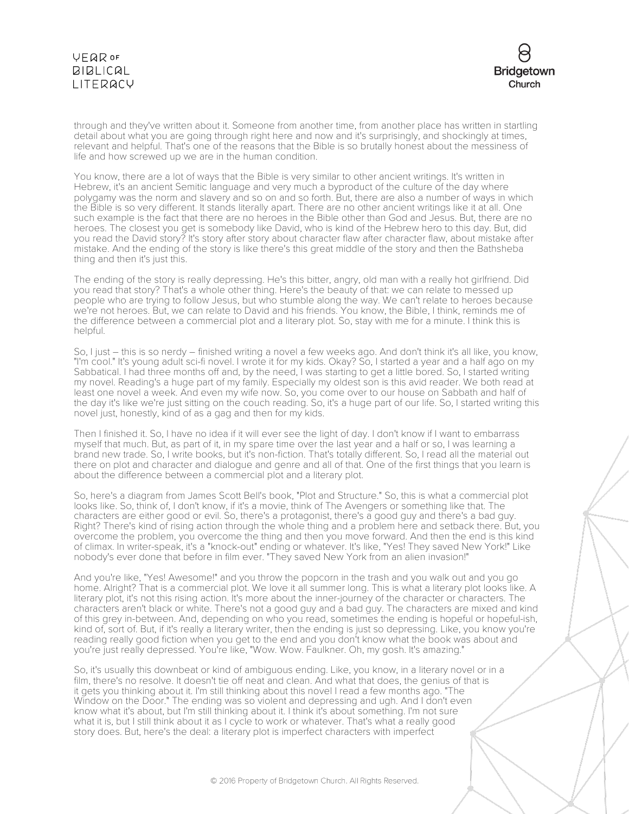

through and they've written about it. Someone from another time, from another place has written in startling detail about what you are going through right here and now and it's surprisingly, and shockingly at times, relevant and helpful. That's one of the reasons that the Bible is so brutally honest about the messiness of life and how screwed up we are in the human condition.

You know, there are a lot of ways that the Bible is very similar to other ancient writings. It's written in Hebrew, it's an ancient Semitic language and very much a byproduct of the culture of the day where polygamy was the norm and slavery and so on and so forth. But, there are also a number of ways in which the Bible is so very different. It stands literally apart. There are no other ancient writings like it at all. One such example is the fact that there are no heroes in the Bible other than God and Jesus. But, there are no heroes. The closest you get is somebody like David, who is kind of the Hebrew hero to this day. But, did you read the David story? It's story after story about character flaw after character flaw, about mistake after mistake. And the ending of the story is like there's this great middle of the story and then the Bathsheba thing and then it's just this.

The ending of the story is really depressing. He's this bitter, angry, old man with a really hot girlfriend. Did you read that story? That's a whole other thing. Here's the beauty of that: we can relate to messed up people who are trying to follow Jesus, but who stumble along the way. We can't relate to heroes because we're not heroes. But, we can relate to David and his friends. You know, the Bible, I think, reminds me of the difference between a commercial plot and a literary plot. So, stay with me for a minute. I think this is helpful.

So, I just – this is so nerdy – finished writing a novel a few weeks ago. And don't think it's all like, you know, "I'm cool." It's young adult sci-fi novel. I wrote it for my kids. Okay? So, I started a year and a half ago on my Sabbatical. I had three months off and, by the need, I was starting to get a little bored. So, I started writing my novel. Reading's a huge part of my family. Especially my oldest son is this avid reader. We both read at least one novel a week. And even my wife now. So, you come over to our house on Sabbath and half of the day it's like we're just sitting on the couch reading. So, it's a huge part of our life. So, I started writing this novel just, honestly, kind of as a gag and then for my kids.

Then I finished it. So, I have no idea if it will ever see the light of day. I don't know if I want to embarrass myself that much. But, as part of it, in my spare time over the last year and a half or so, I was learning a brand new trade. So, I write books, but it's non-fiction. That's totally different. So, I read all the material out there on plot and character and dialogue and genre and all of that. One of the first things that you learn is about the difference between a commercial plot and a literary plot.

So, here's a diagram from James Scott Bell's book, "Plot and Structure." So, this is what a commercial plot looks like. So, think of, I don't know, if it's a movie, think of The Avengers or something like that. The characters are either good or evil. So, there's a protagonist, there's a good guy and there's a bad guy. Right? There's kind of rising action through the whole thing and a problem here and setback there. But, you overcome the problem, you overcome the thing and then you move forward. And then the end is this kind of climax. In writer-speak, it's a "knock-out" ending or whatever. It's like, "Yes! They saved New York!" Like nobody's ever done that before in film ever. "They saved New York from an alien invasion!"

And you're like, "Yes! Awesome!" and you throw the popcorn in the trash and you walk out and you go home. Alright? That is a commercial plot. We love it all summer long. This is what a literary plot looks like. A literary plot, it's not this rising action. It's more about the inner-journey of the character or characters. The characters aren't black or white. There's not a good guy and a bad guy. The characters are mixed and kind of this grey in-between. And, depending on who you read, sometimes the ending is hopeful or hopeful-ish, kind of, sort of. But, if it's really a literary writer, then the ending is just so depressing. Like, you know you're reading really good fiction when you get to the end and you don't know what the book was about and you're just really depressed. You're like, "Wow. Wow. Faulkner. Oh, my gosh. It's amazing."

So, it's usually this downbeat or kind of ambiguous ending. Like, you know, in a literary novel or in a film, there's no resolve. It doesn't tie off neat and clean. And what that does, the genius of that is it gets you thinking about it. I'm still thinking about this novel I read a few months ago. "The Window on the Door." The ending was so violent and depressing and ugh. And I don't even know what it's about, but I'm still thinking about it. I think it's about something. I'm not sure what it is, but I still think about it as I cycle to work or whatever. That's what a really good story does. But, here's the deal: a literary plot is imperfect characters with imperfect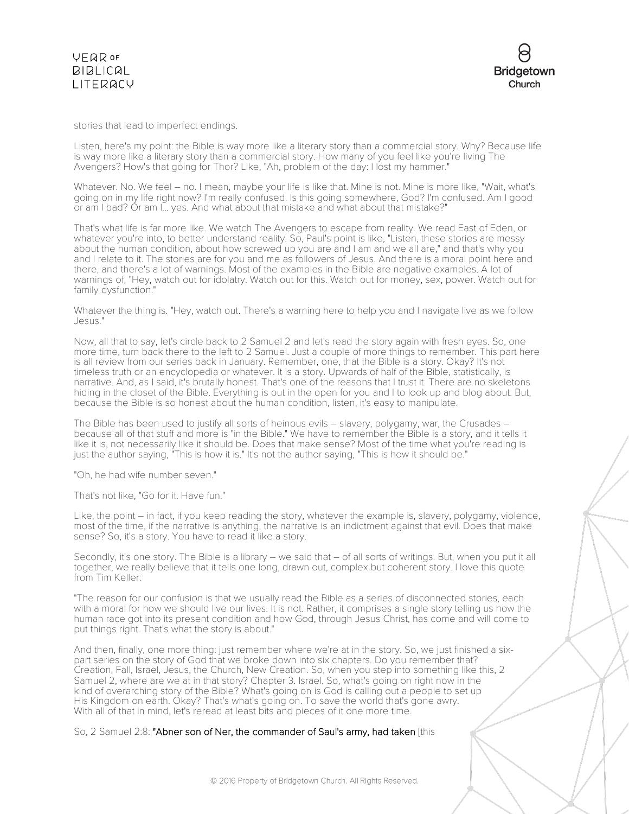

stories that lead to imperfect endings.

Listen, here's my point: the Bible is way more like a literary story than a commercial story. Why? Because life is way more like a literary story than a commercial story. How many of you feel like you're living The Avengers? How's that going for Thor? Like, "Ah, problem of the day: I lost my hammer."

Whatever. No. We feel – no. I mean, maybe your life is like that. Mine is not. Mine is more like, "Wait, what's going on in my life right now? I'm really confused. Is this going somewhere, God? I'm confused. Am I good or am I bad? Or am I... yes. And what about that mistake and what about that mistake?"

That's what life is far more like. We watch The Avengers to escape from reality. We read East of Eden, or whatever you're into, to better understand reality. So, Paul's point is like, "Listen, these stories are messy about the human condition, about how screwed up you are and I am and we all are," and that's why you and I relate to it. The stories are for you and me as followers of Jesus. And there is a moral point here and there, and there's a lot of warnings. Most of the examples in the Bible are negative examples. A lot of warnings of, "Hey, watch out for idolatry. Watch out for this. Watch out for money, sex, power. Watch out for family dysfunction."

Whatever the thing is. "Hey, watch out. There's a warning here to help you and I navigate live as we follow Jesus."

Now, all that to say, let's circle back to 2 Samuel 2 and let's read the story again with fresh eyes. So, one more time, turn back there to the left to 2 Samuel. Just a couple of more things to remember. This part here is all review from our series back in January. Remember, one, that the Bible is a story. Okay? It's not timeless truth or an encyclopedia or whatever. It is a story. Upwards of half of the Bible, statistically, is narrative. And, as I said, it's brutally honest. That's one of the reasons that I trust it. There are no skeletons hiding in the closet of the Bible. Everything is out in the open for you and I to look up and blog about. But, because the Bible is so honest about the human condition, listen, it's easy to manipulate.

The Bible has been used to justify all sorts of heinous evils – slavery, polygamy, war, the Crusades – because all of that stuff and more is "in the Bible." We have to remember the Bible is a story, and it tells it like it is, not necessarily like it should be. Does that make sense? Most of the time what you're reading is just the author saying, "This is how it is." It's not the author saying, "This is how it should be."

"Oh, he had wife number seven."

That's not like, "Go for it. Have fun."

Like, the point – in fact, if you keep reading the story, whatever the example is, slavery, polygamy, violence, most of the time, if the narrative is anything, the narrative is an indictment against that evil. Does that make sense? So, it's a story. You have to read it like a story.

Secondly, it's one story. The Bible is a library – we said that – of all sorts of writings. But, when you put it all together, we really believe that it tells one long, drawn out, complex but coherent story. I love this quote from Tim Keller:

"The reason for our confusion is that we usually read the Bible as a series of disconnected stories, each with a moral for how we should live our lives. It is not. Rather, it comprises a single story telling us how the human race got into its present condition and how God, through Jesus Christ, has come and will come to put things right. That's what the story is about."

And then, finally, one more thing: just remember where we're at in the story. So, we just finished a sixpart series on the story of God that we broke down into six chapters. Do you remember that? Creation, Fall, Israel, Jesus, the Church, New Creation. So, when you step into something like this, 2 Samuel 2, where are we at in that story? Chapter 3. Israel. So, what's going on right now in the kind of overarching story of the Bible? What's going on is God is calling out a people to set up His Kingdom on earth. Okay? That's what's going on. To save the world that's gone awry. With all of that in mind, let's reread at least bits and pieces of it one more time.

So, 2 Samuel 2:8: "Abner son of Ner, the commander of Saul's army, had taken [this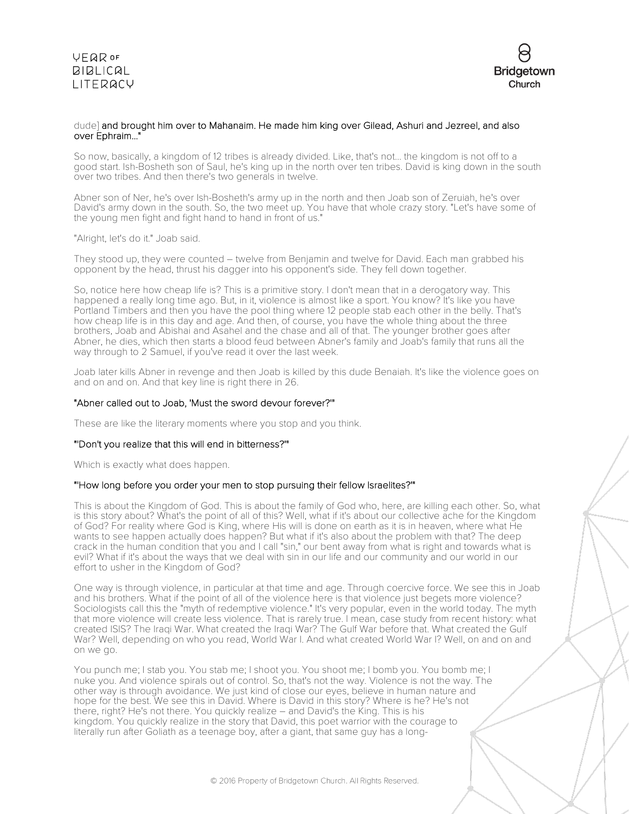

### dude] and brought him over to Mahanaim. He made him king over Gilead, Ashuri and Jezreel, and also over Ephraim..."

So now, basically, a kingdom of 12 tribes is already divided. Like, that's not... the kingdom is not off to a good start. Ish-Bosheth son of Saul, he's king up in the north over ten tribes. David is king down in the south over two tribes. And then there's two generals in twelve.

Abner son of Ner, he's over Ish-Bosheth's army up in the north and then Joab son of Zeruiah, he's over David's army down in the south. So, the two meet up. You have that whole crazy story. "Let's have some of the young men fight and fight hand to hand in front of us."

"Alright, let's do it." Joab said.

They stood up, they were counted – twelve from Benjamin and twelve for David. Each man grabbed his opponent by the head, thrust his dagger into his opponent's side. They fell down together.

So, notice here how cheap life is? This is a primitive story. I don't mean that in a derogatory way. This happened a really long time ago. But, in it, violence is almost like a sport. You know? It's like you have Portland Timbers and then you have the pool thing where 12 people stab each other in the belly. That's how cheap life is in this day and age. And then, of course, you have the whole thing about the three brothers, Joab and Abishai and Asahel and the chase and all of that. The younger brother goes after Abner, he dies, which then starts a blood feud between Abner's family and Joab's family that runs all the way through to 2 Samuel, if you've read it over the last week.

Joab later kills Abner in revenge and then Joab is killed by this dude Benaiah. It's like the violence goes on and on and on. And that key line is right there in 26.

### "Abner called out to Joab, 'Must the sword devour forever?'"

These are like the literary moments where you stop and you think.

### "'Don't you realize that this will end in bitterness?'"

Which is exactly what does happen.

### "'How long before you order your men to stop pursuing their fellow Israelites?'"

This is about the Kingdom of God. This is about the family of God who, here, are killing each other. So, what is this story about? What's the point of all of this? Well, what if it's about our collective ache for the Kingdom of God? For reality where God is King, where His will is done on earth as it is in heaven, where what He wants to see happen actually does happen? But what if it's also about the problem with that? The deep crack in the human condition that you and I call "sin," our bent away from what is right and towards what is evil? What if it's about the ways that we deal with sin in our life and our community and our world in our effort to usher in the Kingdom of God?

One way is through violence, in particular at that time and age. Through coercive force. We see this in Joab and his brothers. What if the point of all of the violence here is that violence just begets more violence? Sociologists call this the "myth of redemptive violence." It's very popular, even in the world today. The myth that more violence will create less violence. That is rarely true. I mean, case study from recent history: what created ISIS? The Iraqi War. What created the Iraqi War? The Gulf War before that. What created the Gulf War? Well, depending on who you read, World War I. And what created World War I? Well, on and on and on we go.

You punch me; I stab you. You stab me; I shoot you. You shoot me; I bomb you. You bomb me; I nuke you. And violence spirals out of control. So, that's not the way. Violence is not the way. The other way is through avoidance. We just kind of close our eyes, believe in human nature and hope for the best. We see this in David. Where is David in this story? Where is he? He's not there, right? He's not there. You quickly realize – and David's the King. This is his kingdom. You quickly realize in the story that David, this poet warrior with the courage to literally run after Goliath as a teenage boy, after a giant, that same guy has a long-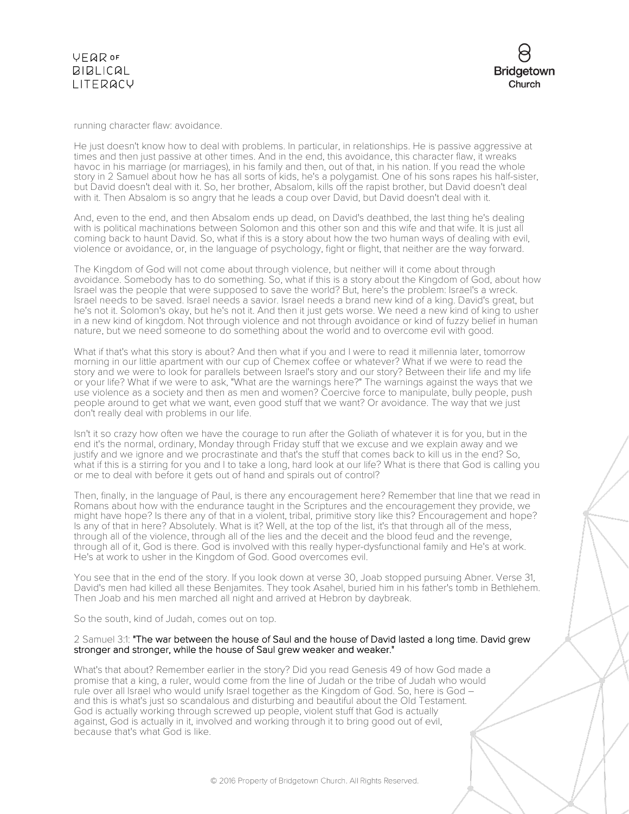

running character flaw: avoidance.

He just doesn't know how to deal with problems. In particular, in relationships. He is passive aggressive at times and then just passive at other times. And in the end, this avoidance, this character flaw, it wreaks havoc in his marriage (or marriages), in his family and then, out of that, in his nation. If you read the whole story in 2 Samuel about how he has all sorts of kids, he's a polygamist. One of his sons rapes his half-sister, but David doesn't deal with it. So, her brother, Absalom, kills off the rapist brother, but David doesn't deal with it. Then Absalom is so angry that he leads a coup over David, but David doesn't deal with it.

And, even to the end, and then Absalom ends up dead, on David's deathbed, the last thing he's dealing with is political machinations between Solomon and this other son and this wife and that wife. It is just all coming back to haunt David. So, what if this is a story about how the two human ways of dealing with evil, violence or avoidance, or, in the language of psychology, fight or flight, that neither are the way forward.

The Kingdom of God will not come about through violence, but neither will it come about through avoidance. Somebody has to do something. So, what if this is a story about the Kingdom of God, about how Israel was the people that were supposed to save the world? But, here's the problem: Israel's a wreck. Israel needs to be saved. Israel needs a savior. Israel needs a brand new kind of a king. David's great, but he's not it. Solomon's okay, but he's not it. And then it just gets worse. We need a new kind of king to usher in a new kind of kingdom. Not through violence and not through avoidance or kind of fuzzy belief in human nature, but we need someone to do something about the world and to overcome evil with good.

What if that's what this story is about? And then what if you and I were to read it millennia later, tomorrow morning in our little apartment with our cup of Chemex coffee or whatever? What if we were to read the story and we were to look for parallels between Israel's story and our story? Between their life and my life or your life? What if we were to ask, "What are the warnings here?" The warnings against the ways that we use violence as a society and then as men and women? Coercive force to manipulate, bully people, push people around to get what we want, even good stuff that we want? Or avoidance. The way that we just don't really deal with problems in our life.

Isn't it so crazy how often we have the courage to run after the Goliath of whatever it is for you, but in the end it's the normal, ordinary, Monday through Friday stuff that we excuse and we explain away and we justify and we ignore and we procrastinate and that's the stuff that comes back to kill us in the end? So, what if this is a stirring for you and I to take a long, hard look at our life? What is there that God is calling you or me to deal with before it gets out of hand and spirals out of control?

Then, finally, in the language of Paul, is there any encouragement here? Remember that line that we read in Romans about how with the endurance taught in the Scriptures and the encouragement they provide, we might have hope? Is there any of that in a violent, tribal, primitive story like this? Encouragement and hope? Is any of that in here? Absolutely. What is it? Well, at the top of the list, it's that through all of the mess, through all of the violence, through all of the lies and the deceit and the blood feud and the revenge, through all of it, God is there. God is involved with this really hyper-dysfunctional family and He's at work. He's at work to usher in the Kingdom of God. Good overcomes evil.

You see that in the end of the story. If you look down at verse 30, Joab stopped pursuing Abner. Verse 31, David's men had killed all these Benjamites. They took Asahel, buried him in his father's tomb in Bethlehem. Then Joab and his men marched all night and arrived at Hebron by daybreak.

So the south, kind of Judah, comes out on top.

#### 2 Samuel 3:1: "The war between the house of Saul and the house of David lasted a long time. David grew stronger and stronger, while the house of Saul grew weaker and weaker."

What's that about? Remember earlier in the story? Did you read Genesis 49 of how God made a promise that a king, a ruler, would come from the line of Judah or the tribe of Judah who would rule over all Israel who would unify Israel together as the Kingdom of God. So, here is God – and this is what's just so scandalous and disturbing and beautiful about the Old Testament. God is actually working through screwed up people, violent stuff that God is actually against, God is actually in it, involved and working through it to bring good out of evil, because that's what God is like.